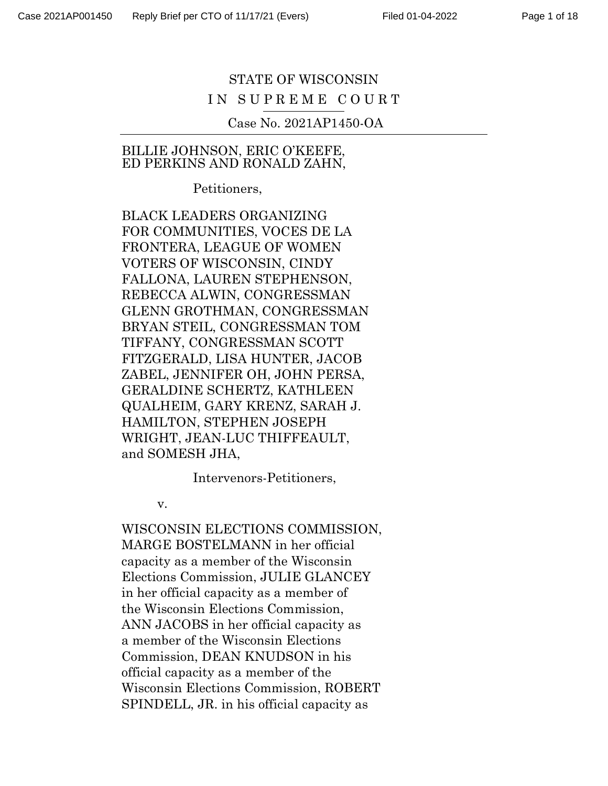# STATE OF WISCONSIN IN SUPREME COURT

Case No. 2021AP1450-OA

#### BILLIE JOHNSON, ERIC O'KEEFE, ED PERKINS AND RONALD ZAHN,

Petitioners,

BLACK LEADERS ORGANIZING FOR COMMUNITIES, VOCES DE LA FRONTERA, LEAGUE OF WOMEN VOTERS OF WISCONSIN, CINDY FALLONA, LAUREN STEPHENSON, REBECCA ALWIN, CONGRESSMAN GLENN GROTHMAN, CONGRESSMAN BRYAN STEIL, CONGRESSMAN TOM TIFFANY, CONGRESSMAN SCOTT FITZGERALD, LISA HUNTER, JACOB ZABEL, JENNIFER OH, JOHN PERSA, GERALDINE SCHERTZ, KATHLEEN QUALHEIM, GARY KRENZ, SARAH J. HAMILTON, STEPHEN JOSEPH WRIGHT, JEAN-LUC THIFFEAULT, and SOMESH JHA,

Intervenors-Petitioners,

v.

WISCONSIN ELECTIONS COMMISSION, MARGE BOSTELMANN in her official capacity as a member of the Wisconsin Elections Commission, JULIE GLANCEY in her official capacity as a member of the Wisconsin Elections Commission, ANN JACOBS in her official capacity as a member of the Wisconsin Elections Commission, DEAN KNUDSON in his official capacity as a member of the Wisconsin Elections Commission, ROBERT SPINDELL, JR. in his official capacity as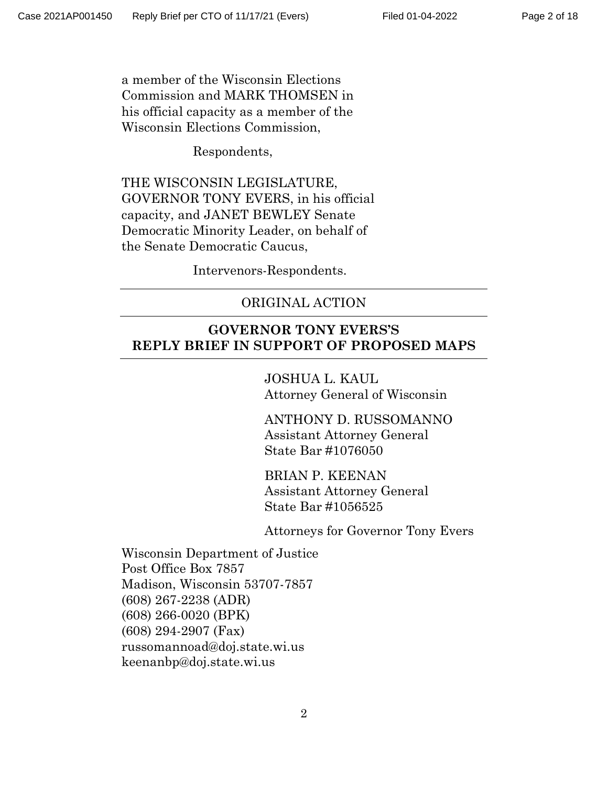a member of the Wisconsin Elections Commission and MARK THOMSEN in his official capacity as a member of the Wisconsin Elections Commission,

Respondents,

THE WISCONSIN LEGISLATURE, GOVERNOR TONY EVERS, in his official capacity, and JANET BEWLEY Senate Democratic Minority Leader, on behalf of the Senate Democratic Caucus,

Intervenors-Respondents.

#### ORIGINAL ACTION

### **GOVERNOR TONY EVERS'S REPLY BRIEF IN SUPPORT OF PROPOSED MAPS**

JOSHUA L. KAUL Attorney General of Wisconsin

ANTHONY D. RUSSOMANNO Assistant Attorney General State Bar #1076050

BRIAN P. KEENAN Assistant Attorney General State Bar #1056525

Attorneys for Governor Tony Evers

Wisconsin Department of Justice Post Office Box 7857 Madison, Wisconsin 53707-7857 (608) 267-2238 (ADR) (608) 266-0020 (BPK) (608) 294-2907 (Fax) russomannoad@doj.state.wi.us keenanbp@doj.state.wi.us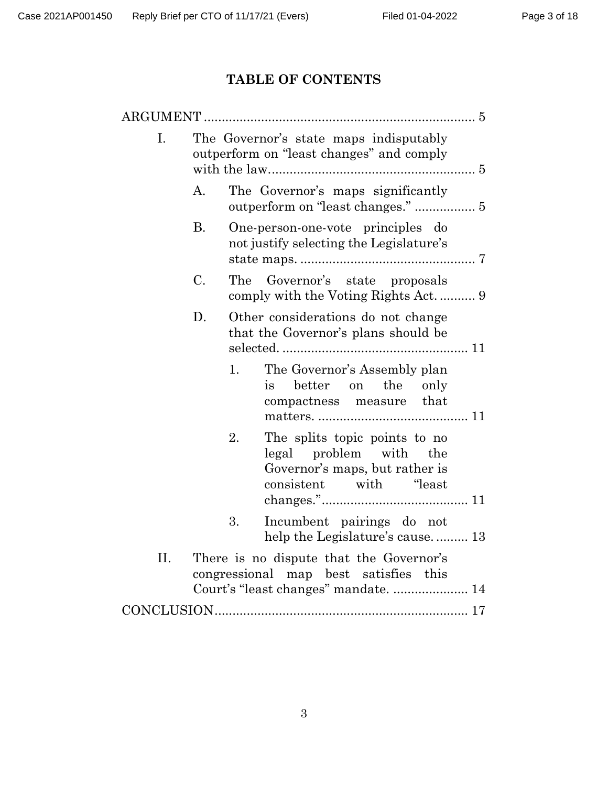# **TABLE OF CONTENTS**

| <b>ARGUMENT</b> |                                                                                    |                                                                                                                            |  |  |
|-----------------|------------------------------------------------------------------------------------|----------------------------------------------------------------------------------------------------------------------------|--|--|
| Ι.              | The Governor's state maps indisputably<br>outperform on "least changes" and comply |                                                                                                                            |  |  |
|                 | $\mathbf{A}$ .                                                                     | The Governor's maps significantly                                                                                          |  |  |
|                 | <b>B.</b>                                                                          | One-person-one-vote principles do<br>not justify selecting the Legislature's                                               |  |  |
|                 | C.                                                                                 | The Governor's state proposals                                                                                             |  |  |
|                 | D.                                                                                 | Other considerations do not change<br>that the Governor's plans should be                                                  |  |  |
|                 |                                                                                    | The Governor's Assembly plan<br>1.<br>better<br>the<br>on<br>only<br>is<br>compactness measure that                        |  |  |
|                 |                                                                                    | The splits topic points to no<br>2.<br>legal problem with the<br>Governor's maps, but rather is<br>consistent with "least" |  |  |
|                 |                                                                                    | 3.<br>Incumbent pairings do not<br>help the Legislature's cause 13                                                         |  |  |
| II.             |                                                                                    | There is no dispute that the Governor's<br>congressional map best satisfies this<br>Court's "least changes" mandate 14     |  |  |
|                 |                                                                                    |                                                                                                                            |  |  |
|                 |                                                                                    |                                                                                                                            |  |  |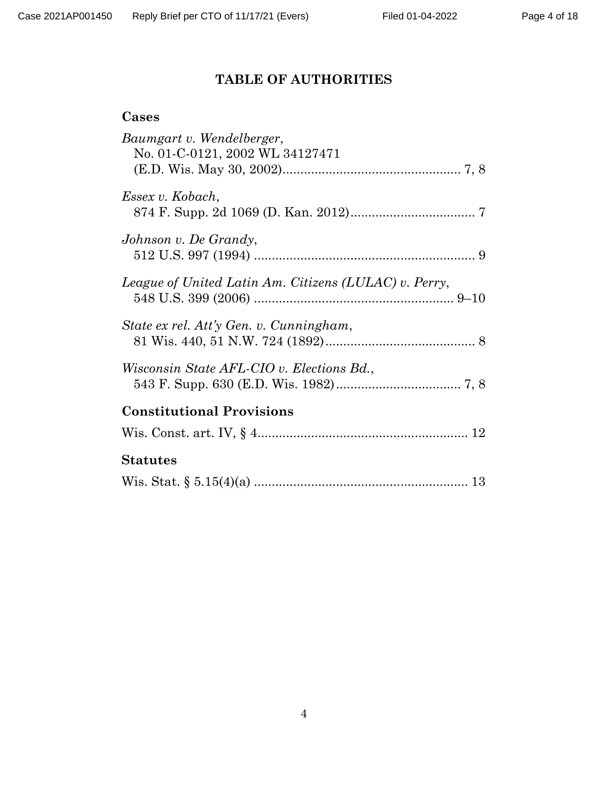# **TABLE OF AUTHORITIES**

| Baumgart v. Wendelberger,<br>No. 01-C-0121, 2002 WL 34127471 |
|--------------------------------------------------------------|
| Essex v. Kobach,                                             |
| Johnson v. De Grandy,                                        |
| League of United Latin Am. Citizens (LULAC) v. Perry,        |
| State ex rel. Att'y Gen. v. Cunningham,                      |
| <i>Wisconsin State AFL-CIO v. Elections Bd.,</i>             |
| <b>Constitutional Provisions</b>                             |
|                                                              |
| <b>Statutes</b>                                              |
|                                                              |
|                                                              |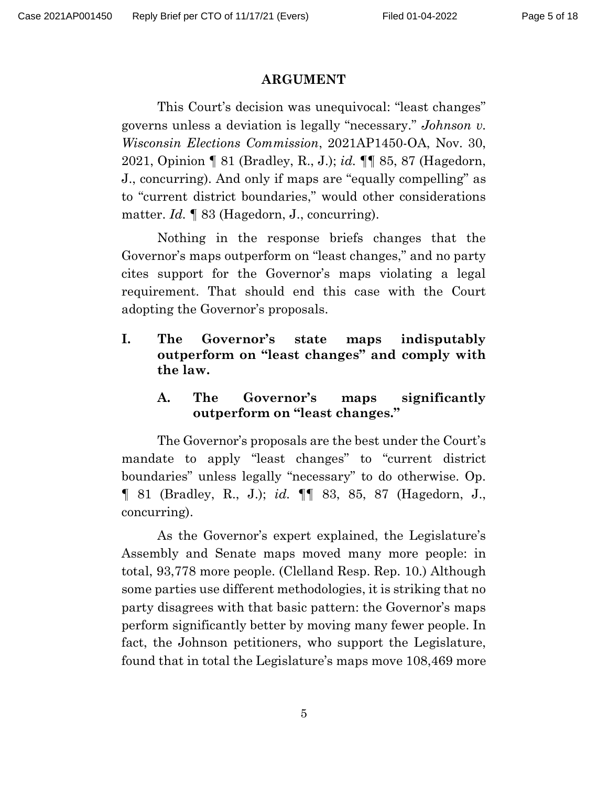#### **ARGUMENT**

This Court's decision was unequivocal: "least changes" governs unless a deviation is legally "necessary." *Johnson v. Wisconsin Elections Commission*, 2021AP1450-OA, Nov. 30, 2021, Opinion ¶ 81 (Bradley, R., J.); *id.* ¶¶ 85, 87 (Hagedorn, J., concurring). And only if maps are "equally compelling" as to "current district boundaries," would other considerations matter. *Id.* ¶ 83 (Hagedorn, J., concurring).

Nothing in the response briefs changes that the Governor's maps outperform on "least changes," and no party cites support for the Governor's maps violating a legal requirement. That should end this case with the Court adopting the Governor's proposals.

<span id="page-4-0"></span>**I. The Governor's state maps indisputably outperform on "least changes" and comply with the law.**

### <span id="page-4-1"></span>**A. The Governor's maps significantly outperform on "least changes."**

The Governor's proposals are the best under the Court's mandate to apply "least changes" to "current district boundaries" unless legally "necessary" to do otherwise. Op. ¶ 81 (Bradley, R., J.); *id.* ¶¶ 83, 85, 87 (Hagedorn, J., concurring).

As the Governor's expert explained, the Legislature's Assembly and Senate maps moved many more people: in total, 93,778 more people. (Clelland Resp. Rep. 10.) Although some parties use different methodologies, it is striking that no party disagrees with that basic pattern: the Governor's maps perform significantly better by moving many fewer people. In fact, the Johnson petitioners, who support the Legislature, found that in total the Legislature's maps move 108,469 more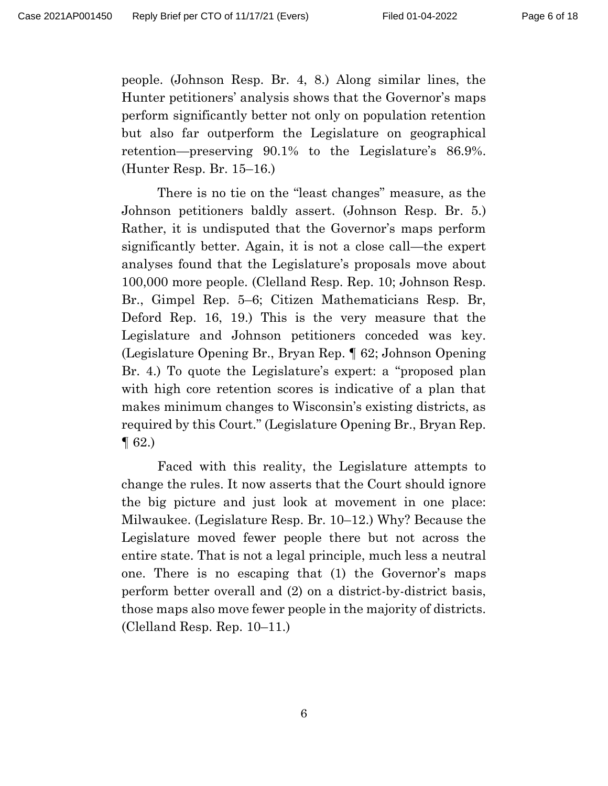people. (Johnson Resp. Br. 4, 8.) Along similar lines, the Hunter petitioners' analysis shows that the Governor's maps perform significantly better not only on population retention but also far outperform the Legislature on geographical retention—preserving 90.1% to the Legislature's 86.9%. (Hunter Resp. Br. 15–16.)

There is no tie on the "least changes" measure, as the Johnson petitioners baldly assert. (Johnson Resp. Br. 5.) Rather, it is undisputed that the Governor's maps perform significantly better. Again, it is not a close call—the expert analyses found that the Legislature's proposals move about 100,000 more people. (Clelland Resp. Rep. 10; Johnson Resp. Br., Gimpel Rep. 5–6; Citizen Mathematicians Resp. Br, Deford Rep. 16, 19.) This is the very measure that the Legislature and Johnson petitioners conceded was key. (Legislature Opening Br., Bryan Rep. ¶ 62; Johnson Opening Br. 4.) To quote the Legislature's expert: a "proposed plan with high core retention scores is indicative of a plan that makes minimum changes to Wisconsin's existing districts, as required by this Court." (Legislature Opening Br., Bryan Rep. ¶ 62.)

Faced with this reality, the Legislature attempts to change the rules. It now asserts that the Court should ignore the big picture and just look at movement in one place: Milwaukee. (Legislature Resp. Br. 10–12.) Why? Because the Legislature moved fewer people there but not across the entire state. That is not a legal principle, much less a neutral one. There is no escaping that (1) the Governor's maps perform better overall and (2) on a district-by-district basis, those maps also move fewer people in the majority of districts. (Clelland Resp. Rep. 10–11.)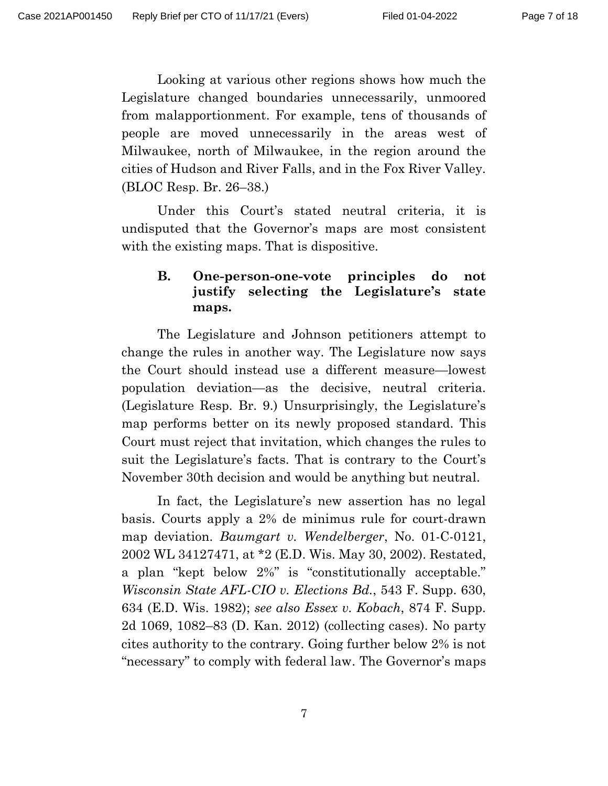Looking at various other regions shows how much the Legislature changed boundaries unnecessarily, unmoored from malapportionment. For example, tens of thousands of people are moved unnecessarily in the areas west of Milwaukee, north of Milwaukee, in the region around the cities of Hudson and River Falls, and in the Fox River Valley. (BLOC Resp. Br. 26–38.)

Under this Court's stated neutral criteria, it is undisputed that the Governor's maps are most consistent with the existing maps. That is dispositive.

# <span id="page-6-0"></span>**B. One-person-one-vote principles do not justify selecting the Legislature's state maps.**

The Legislature and Johnson petitioners attempt to change the rules in another way. The Legislature now says the Court should instead use a different measure—lowest population deviation—as the decisive, neutral criteria. (Legislature Resp. Br. 9.) Unsurprisingly, the Legislature's map performs better on its newly proposed standard. This Court must reject that invitation, which changes the rules to suit the Legislature's facts. That is contrary to the Court's November 30th decision and would be anything but neutral.

In fact, the Legislature's new assertion has no legal basis. Courts apply a 2% de minimus rule for court-drawn map deviation. *Baumgart v. Wendelberger*, No. 01-C-0121, 2002 WL 34127471, at \*2 (E.D. Wis. May 30, 2002). Restated, a plan "kept below 2%" is "constitutionally acceptable." *Wisconsin State AFL-CIO v. Elections Bd.*, 543 F. Supp. 630, 634 (E.D. Wis. 1982); *see also Essex v. Kobach*, 874 F. Supp. 2d 1069, 1082–83 (D. Kan. 2012) (collecting cases). No party cites authority to the contrary. Going further below 2% is not "necessary" to comply with federal law. The Governor's maps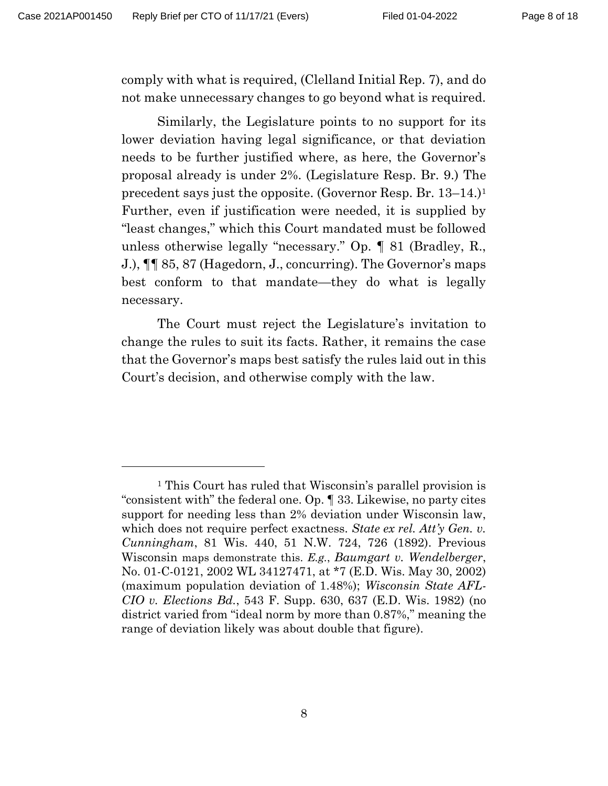comply with what is required, (Clelland Initial Rep. 7), and do not make unnecessary changes to go beyond what is required.

Similarly, the Legislature points to no support for its lower deviation having legal significance, or that deviation needs to be further justified where, as here, the Governor's proposal already is under 2%. (Legislature Resp. Br. 9.) The precedent says just the opposite. (Governor Resp. Br. 13–14.)<sup>1</sup> Further, even if justification were needed, it is supplied by "least changes," which this Court mandated must be followed unless otherwise legally "necessary." Op. ¶ 81 (Bradley, R., J.), ¶¶ 85, 87 (Hagedorn, J., concurring). The Governor's maps best conform to that mandate—they do what is legally necessary.

The Court must reject the Legislature's invitation to change the rules to suit its facts. Rather, it remains the case that the Governor's maps best satisfy the rules laid out in this Court's decision, and otherwise comply with the law.

<sup>1</sup> This Court has ruled that Wisconsin's parallel provision is "consistent with" the federal one. Op. ¶ 33. Likewise, no party cites support for needing less than 2% deviation under Wisconsin law, which does not require perfect exactness. *State ex rel. Att'y Gen. v. Cunningham*, 81 Wis. 440, 51 N.W. 724, 726 (1892). Previous Wisconsin maps demonstrate this. *E.g.*, *Baumgart v. Wendelberger*, No. 01-C-0121, 2002 WL 34127471, at \*7 (E.D. Wis. May 30, 2002) (maximum population deviation of 1.48%); *Wisconsin State AFL-CIO v. Elections Bd.*, 543 F. Supp. 630, 637 (E.D. Wis. 1982) (no district varied from "ideal norm by more than 0.87%," meaning the range of deviation likely was about double that figure).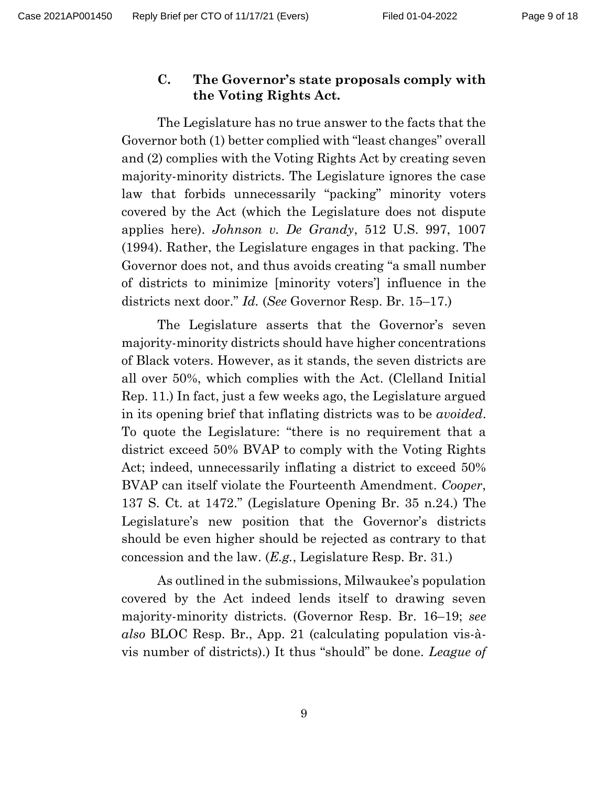## <span id="page-8-0"></span>**C. The Governor's state proposals comply with the Voting Rights Act.**

The Legislature has no true answer to the facts that the Governor both (1) better complied with "least changes" overall and (2) complies with the Voting Rights Act by creating seven majority-minority districts. The Legislature ignores the case law that forbids unnecessarily "packing" minority voters covered by the Act (which the Legislature does not dispute applies here). *Johnson v. De Grandy*, 512 U.S. 997, 1007 (1994). Rather, the Legislature engages in that packing. The Governor does not, and thus avoids creating "a small number of districts to minimize [minority voters'] influence in the districts next door." *Id.* (*See* Governor Resp. Br. 15–17.)

The Legislature asserts that the Governor's seven majority-minority districts should have higher concentrations of Black voters. However, as it stands, the seven districts are all over 50%, which complies with the Act. (Clelland Initial Rep. 11.) In fact, just a few weeks ago, the Legislature argued in its opening brief that inflating districts was to be *avoided*. To quote the Legislature: "there is no requirement that a district exceed 50% BVAP to comply with the Voting Rights Act; indeed, unnecessarily inflating a district to exceed 50% BVAP can itself violate the Fourteenth Amendment. *Cooper*, 137 S. Ct. at 1472." (Legislature Opening Br. 35 n.24.) The Legislature's new position that the Governor's districts should be even higher should be rejected as contrary to that concession and the law. (*E.g.*, Legislature Resp. Br. 31.)

As outlined in the submissions, Milwaukee's population covered by the Act indeed lends itself to drawing seven majority-minority districts. (Governor Resp. Br. 16–19; *see also* BLOC Resp. Br., App. 21 (calculating population vis-àvis number of districts).) It thus "should" be done. *League of*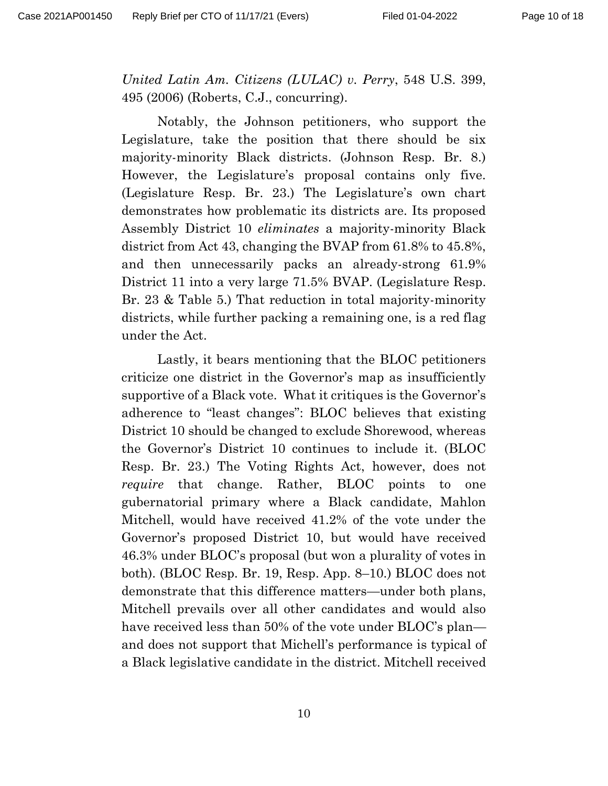*United Latin Am. Citizens (LULAC) v. Perry*, 548 U.S. 399, 495 (2006) (Roberts, C.J., concurring).

Notably, the Johnson petitioners, who support the Legislature, take the position that there should be six majority-minority Black districts. (Johnson Resp. Br. 8.) However, the Legislature's proposal contains only five. (Legislature Resp. Br. 23.) The Legislature's own chart demonstrates how problematic its districts are. Its proposed Assembly District 10 *eliminates* a majority-minority Black district from Act 43, changing the BVAP from 61.8% to 45.8%, and then unnecessarily packs an already-strong 61.9% District 11 into a very large 71.5% BVAP. (Legislature Resp. Br. 23 & Table 5.) That reduction in total majority-minority districts, while further packing a remaining one, is a red flag under the Act.

Lastly, it bears mentioning that the BLOC petitioners criticize one district in the Governor's map as insufficiently supportive of a Black vote. What it critiques is the Governor's adherence to "least changes": BLOC believes that existing District 10 should be changed to exclude Shorewood, whereas the Governor's District 10 continues to include it. (BLOC Resp. Br. 23.) The Voting Rights Act, however, does not *require* that change. Rather, BLOC points to one gubernatorial primary where a Black candidate, Mahlon Mitchell, would have received 41.2% of the vote under the Governor's proposed District 10, but would have received 46.3% under BLOC's proposal (but won a plurality of votes in both). (BLOC Resp. Br. 19, Resp. App. 8–10.) BLOC does not demonstrate that this difference matters—under both plans, Mitchell prevails over all other candidates and would also have received less than 50% of the vote under BLOC's plan and does not support that Michell's performance is typical of a Black legislative candidate in the district. Mitchell received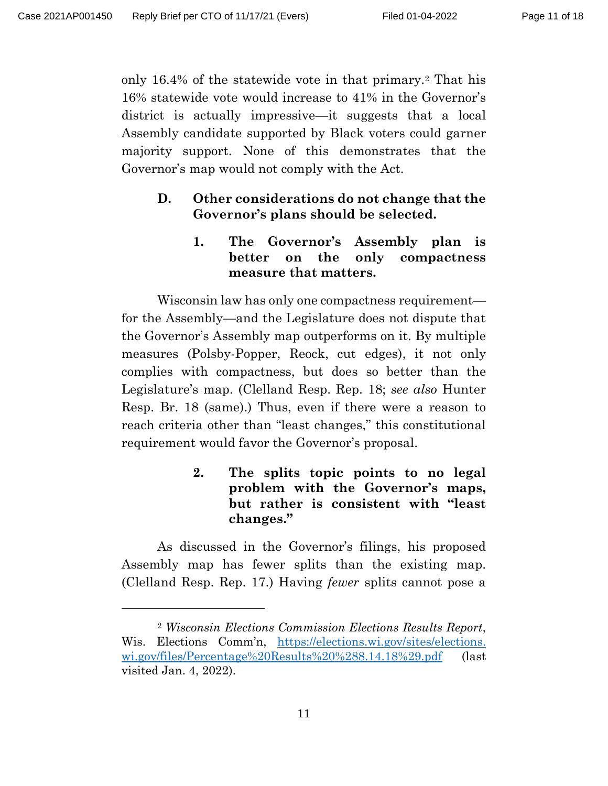only 16.4% of the statewide vote in that primary.<sup>2</sup> That his 16% statewide vote would increase to 41% in the Governor's district is actually impressive—it suggests that a local Assembly candidate supported by Black voters could garner majority support. None of this demonstrates that the Governor's map would not comply with the Act.

# <span id="page-10-1"></span><span id="page-10-0"></span>**D. Other considerations do not change that the Governor's plans should be selected.**

**1. The Governor's Assembly plan is better on the only compactness measure that matters.**

Wisconsin law has only one compactness requirement for the Assembly—and the Legislature does not dispute that the Governor's Assembly map outperforms on it. By multiple measures (Polsby-Popper, Reock, cut edges), it not only complies with compactness, but does so better than the Legislature's map. (Clelland Resp. Rep. 18; *see also* Hunter Resp. Br. 18 (same).) Thus, even if there were a reason to reach criteria other than "least changes," this constitutional requirement would favor the Governor's proposal.

> <span id="page-10-2"></span>**2. The splits topic points to no legal problem with the Governor's maps, but rather is consistent with "least changes."**

As discussed in the Governor's filings, his proposed Assembly map has fewer splits than the existing map. (Clelland Resp. Rep. 17.) Having *fewer* splits cannot pose a

<sup>2</sup> *Wisconsin Elections Commission Elections Results Report*, Wis. Elections Comm'n, [https://elections.wi.gov/sites/elections.](https://elections.wi.gov/sites/elections.wi.gov/files/Percentage%20Results%20%288.14.18%29.pdf) [wi.gov/files/Percentage%20Results%20%288.14.18%29.pdf](https://elections.wi.gov/sites/elections.wi.gov/files/Percentage%20Results%20%288.14.18%29.pdf) (last visited Jan. 4, 2022).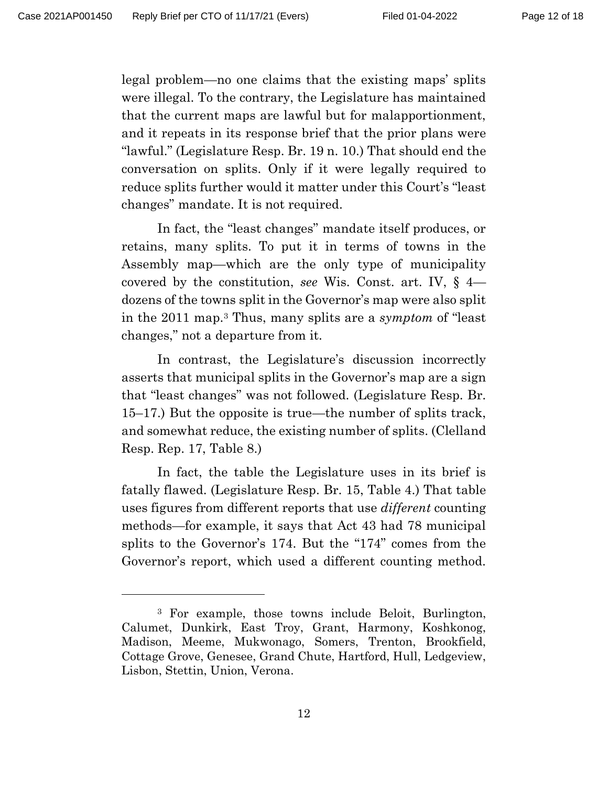legal problem—no one claims that the existing maps' splits were illegal. To the contrary, the Legislature has maintained that the current maps are lawful but for malapportionment, and it repeats in its response brief that the prior plans were "lawful." (Legislature Resp. Br. 19 n. 10.) That should end the conversation on splits. Only if it were legally required to reduce splits further would it matter under this Court's "least changes" mandate. It is not required.

In fact, the "least changes" mandate itself produces, or retains, many splits. To put it in terms of towns in the Assembly map—which are the only type of municipality covered by the constitution, *see* Wis. Const. art. IV, § 4 dozens of the towns split in the Governor's map were also split in the 2011 map.<sup>3</sup> Thus, many splits are a *symptom* of "least changes," not a departure from it.

In contrast, the Legislature's discussion incorrectly asserts that municipal splits in the Governor's map are a sign that "least changes" was not followed. (Legislature Resp. Br. 15–17.) But the opposite is true—the number of splits track, and somewhat reduce, the existing number of splits. (Clelland Resp. Rep. 17, Table 8.)

In fact, the table the Legislature uses in its brief is fatally flawed. (Legislature Resp. Br. 15, Table 4.) That table uses figures from different reports that use *different* counting methods—for example, it says that Act 43 had 78 municipal splits to the Governor's 174. But the "174" comes from the Governor's report, which used a different counting method.

<sup>3</sup> For example, those towns include Beloit, Burlington, Calumet, Dunkirk, East Troy, Grant, Harmony, Koshkonog, Madison, Meeme, Mukwonago, Somers, Trenton, Brookfield, Cottage Grove, Genesee, Grand Chute, Hartford, Hull, Ledgeview, Lisbon, Stettin, Union, Verona.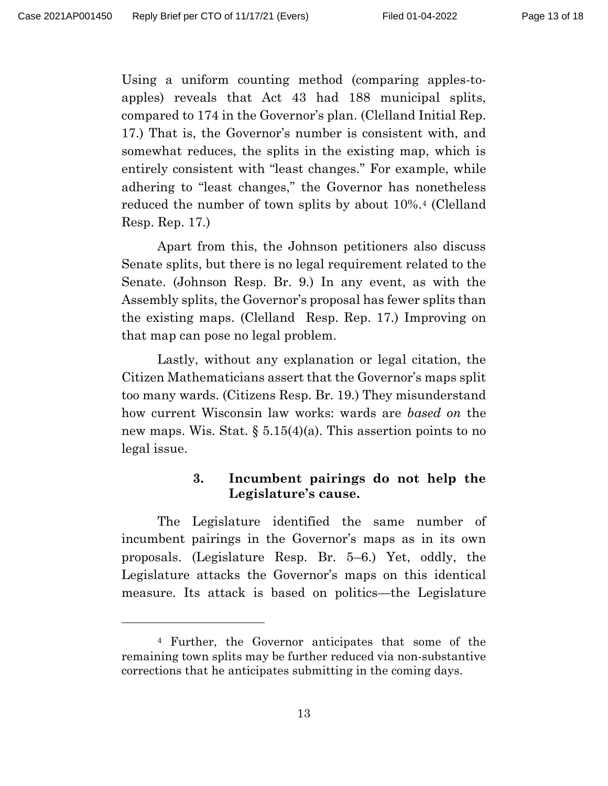Using a uniform counting method (comparing apples-toapples) reveals that Act 43 had 188 municipal splits, compared to 174 in the Governor's plan. (Clelland Initial Rep. 17.) That is, the Governor's number is consistent with, and somewhat reduces, the splits in the existing map, which is entirely consistent with "least changes." For example, while adhering to "least changes," the Governor has nonetheless reduced the number of town splits by about 10%. <sup>4</sup> (Clelland Resp. Rep. 17.)

Apart from this, the Johnson petitioners also discuss Senate splits, but there is no legal requirement related to the Senate. (Johnson Resp. Br. 9.) In any event, as with the Assembly splits, the Governor's proposal has fewer splits than the existing maps. (Clelland Resp. Rep. 17.) Improving on that map can pose no legal problem.

Lastly, without any explanation or legal citation, the Citizen Mathematicians assert that the Governor's maps split too many wards. (Citizens Resp. Br. 19.) They misunderstand how current Wisconsin law works: wards are *based on* the new maps. Wis. Stat.  $\S 5.15(4)(a)$ . This assertion points to no legal issue.

### **3. Incumbent pairings do not help the Legislature's cause.**

<span id="page-12-0"></span>The Legislature identified the same number of incumbent pairings in the Governor's maps as in its own proposals. (Legislature Resp. Br. 5–6.) Yet, oddly, the Legislature attacks the Governor's maps on this identical measure. Its attack is based on politics—the Legislature

<sup>4</sup> Further, the Governor anticipates that some of the remaining town splits may be further reduced via non-substantive corrections that he anticipates submitting in the coming days.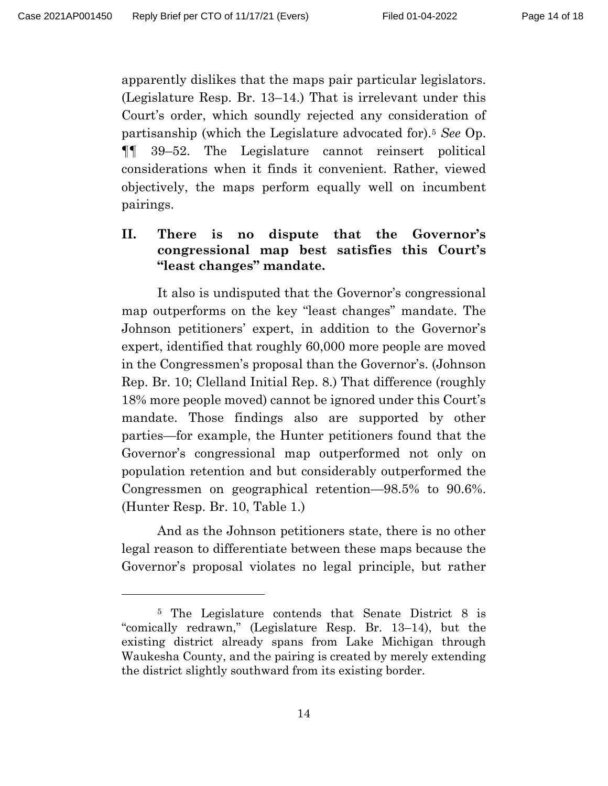apparently dislikes that the maps pair particular legislators. (Legislature Resp. Br. 13–14.) That is irrelevant under this Court's order, which soundly rejected any consideration of partisanship (which the Legislature advocated for). <sup>5</sup> *See* Op. ¶¶ 39–52. The Legislature cannot reinsert political considerations when it finds it convenient. Rather, viewed objectively, the maps perform equally well on incumbent pairings.

# <span id="page-13-0"></span>**II. There is no dispute that the Governor's congressional map best satisfies this Court's "least changes" mandate.**

It also is undisputed that the Governor's congressional map outperforms on the key "least changes" mandate. The Johnson petitioners' expert, in addition to the Governor's expert, identified that roughly 60,000 more people are moved in the Congressmen's proposal than the Governor's. (Johnson Rep. Br. 10; Clelland Initial Rep. 8.) That difference (roughly 18% more people moved) cannot be ignored under this Court's mandate. Those findings also are supported by other parties—for example, the Hunter petitioners found that the Governor's congressional map outperformed not only on population retention and but considerably outperformed the Congressmen on geographical retention—98.5% to 90.6%. (Hunter Resp. Br. 10, Table 1.)

And as the Johnson petitioners state, there is no other legal reason to differentiate between these maps because the Governor's proposal violates no legal principle, but rather

<sup>5</sup> The Legislature contends that Senate District 8 is "comically redrawn," (Legislature Resp. Br. 13–14), but the existing district already spans from Lake Michigan through Waukesha County, and the pairing is created by merely extending the district slightly southward from its existing border.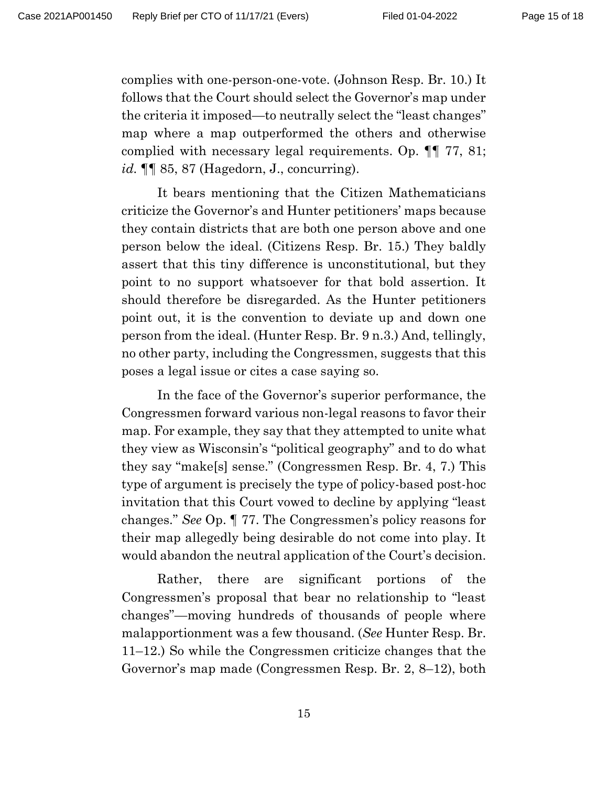complies with one-person-one-vote. (Johnson Resp. Br. 10.) It follows that the Court should select the Governor's map under the criteria it imposed—to neutrally select the "least changes" map where a map outperformed the others and otherwise complied with necessary legal requirements. Op. ¶¶ 77, 81; *id.* ¶¶ 85, 87 (Hagedorn, J., concurring).

It bears mentioning that the Citizen Mathematicians criticize the Governor's and Hunter petitioners' maps because they contain districts that are both one person above and one person below the ideal. (Citizens Resp. Br. 15.) They baldly assert that this tiny difference is unconstitutional, but they point to no support whatsoever for that bold assertion. It should therefore be disregarded. As the Hunter petitioners point out, it is the convention to deviate up and down one person from the ideal. (Hunter Resp. Br. 9 n.3.) And, tellingly, no other party, including the Congressmen, suggests that this poses a legal issue or cites a case saying so.

In the face of the Governor's superior performance, the Congressmen forward various non-legal reasons to favor their map. For example, they say that they attempted to unite what they view as Wisconsin's "political geography" and to do what they say "make[s] sense." (Congressmen Resp. Br. 4, 7.) This type of argument is precisely the type of policy-based post-hoc invitation that this Court vowed to decline by applying "least changes." *See* Op. ¶ 77. The Congressmen's policy reasons for their map allegedly being desirable do not come into play. It would abandon the neutral application of the Court's decision.

Rather, there are significant portions of the Congressmen's proposal that bear no relationship to "least changes"—moving hundreds of thousands of people where malapportionment was a few thousand. (*See* Hunter Resp. Br. 11–12.) So while the Congressmen criticize changes that the Governor's map made (Congressmen Resp. Br. 2, 8–12), both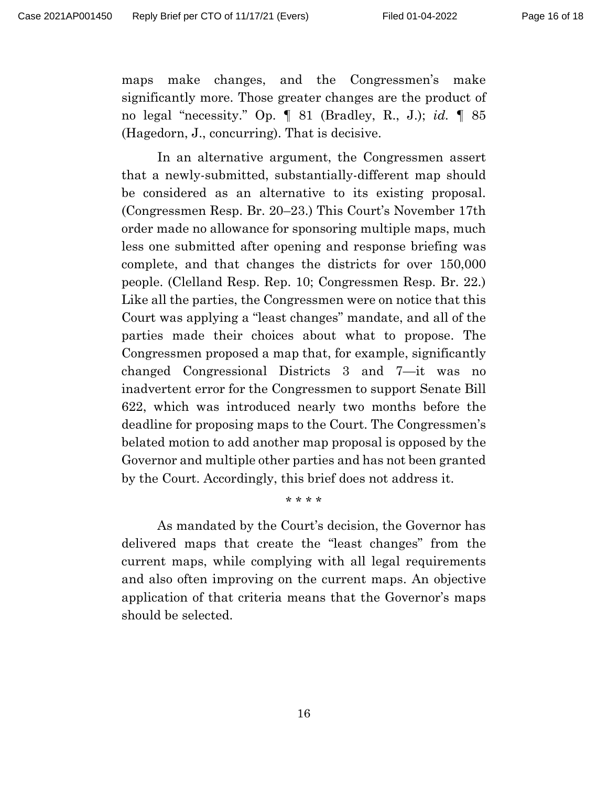maps make changes, and the Congressmen's make significantly more. Those greater changes are the product of no legal "necessity." Op. ¶ 81 (Bradley, R., J.); *id.* ¶ 85 (Hagedorn, J., concurring). That is decisive.

In an alternative argument, the Congressmen assert that a newly-submitted, substantially-different map should be considered as an alternative to its existing proposal. (Congressmen Resp. Br. 20–23.) This Court's November 17th order made no allowance for sponsoring multiple maps, much less one submitted after opening and response briefing was complete, and that changes the districts for over 150,000 people. (Clelland Resp. Rep. 10; Congressmen Resp. Br. 22.) Like all the parties, the Congressmen were on notice that this Court was applying a "least changes" mandate, and all of the parties made their choices about what to propose. The Congressmen proposed a map that, for example, significantly changed Congressional Districts 3 and 7—it was no inadvertent error for the Congressmen to support Senate Bill 622, which was introduced nearly two months before the deadline for proposing maps to the Court. The Congressmen's belated motion to add another map proposal is opposed by the Governor and multiple other parties and has not been granted by the Court. Accordingly, this brief does not address it.

#### \* \* \* \*

As mandated by the Court's decision, the Governor has delivered maps that create the "least changes" from the current maps, while complying with all legal requirements and also often improving on the current maps. An objective application of that criteria means that the Governor's maps should be selected.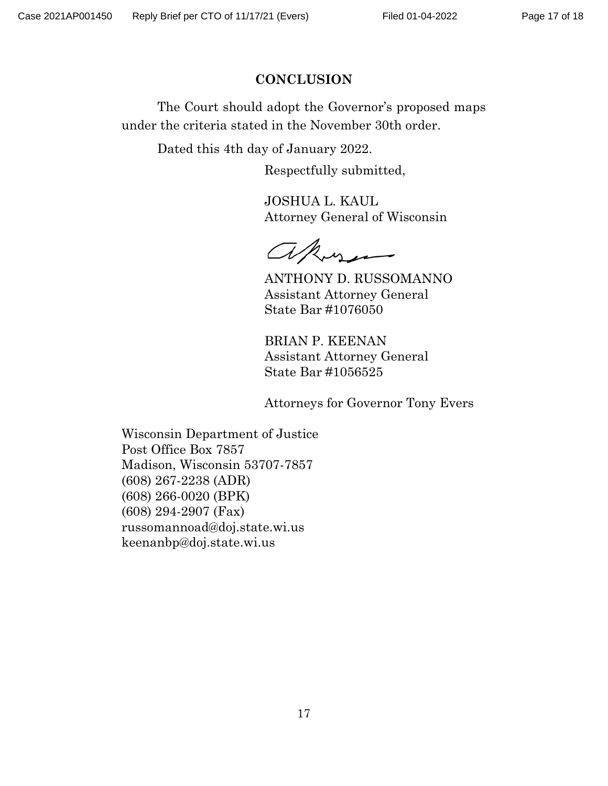### **CONCLUSION**

<span id="page-16-0"></span>The Court should adopt the Governor's proposed maps under the criteria stated in the November 30th order.

Dated this 4th day of January 2022.

Respectfully submitted,

JOSHUA L. KAUL Attorney General of Wisconsin

akyn

ANTHONY D. RUSSOMANNO Assistant Attorney General State Bar #1076050

BRIAN P. KEENAN Assistant Attorney General State Bar #1056525

Attorneys for Governor Tony Evers

Wisconsin Department of Justice Post Office Box 7857 Madison, Wisconsin 53707-7857 (608) 267-2238 (ADR) (608) 266-0020 (BPK) (608) 294-2907 (Fax) russomannoad@doj.state.wi.us keenanbp@doj.state.wi.us